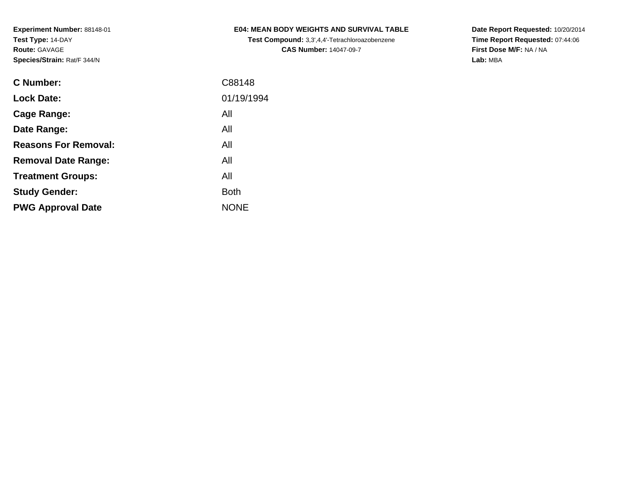**Test Compound:** 3,3',4,4'-Tetrachloroazobenzene**CAS Number:** 14047-09-7

**Date Report Requested:** 10/20/2014 **Time Report Requested:** 07:44:06**First Dose M/F:** NA / NA**Lab:** MBA

| <b>C</b> Number:            | C88148      |
|-----------------------------|-------------|
| <b>Lock Date:</b>           | 01/19/1994  |
| Cage Range:                 | All         |
| Date Range:                 | All         |
| <b>Reasons For Removal:</b> | All         |
| <b>Removal Date Range:</b>  | All         |
| <b>Treatment Groups:</b>    | All         |
| <b>Study Gender:</b>        | <b>Both</b> |
| <b>PWG Approval Date</b>    | <b>NONE</b> |
|                             |             |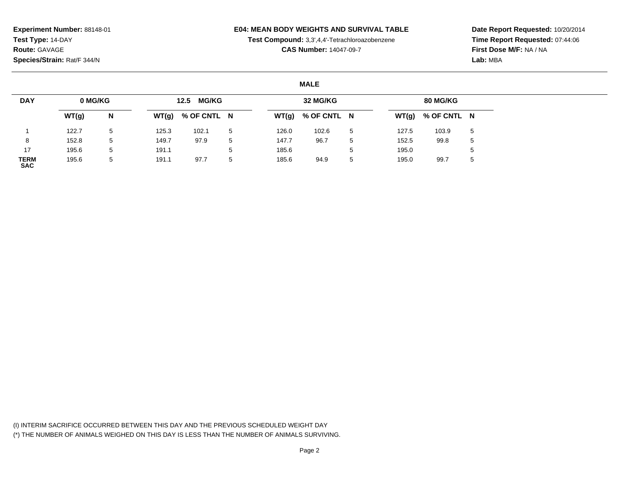#### **E04: MEAN BODY WEIGHTS AND SURVIVAL TABLE**

**Test Compound:** 3,3',4,4'-Tetrachloroazobenzene

**CAS Number:** 14047-09-7

**Date Report Requested:** 10/20/2014**Time Report Requested:** 07:44:06**First Dose M/F:** NA / NA**Lab:** MBA

#### **MALE**

| <b>DAY</b>                | 0 MG/KG |   |       | <b>MG/KG</b><br>12.5 |   |       | 32 MG/KG    |   |       | 80 MG/KG    |             |
|---------------------------|---------|---|-------|----------------------|---|-------|-------------|---|-------|-------------|-------------|
|                           | WT(g)   | N | WT(g) | % OF CNTL N          |   | WT(g) | % OF CNTL N |   | WT(g) | % OF CNTL N |             |
|                           | 122.7   | 5 | 125.3 | 102.1                | 5 | 126.0 | 102.6       | 5 | 127.5 | 103.9       | 5           |
|                           | 152.8   | 5 | 149.7 | 97.9                 | 5 | 147.7 | 96.7        | 5 | 152.5 | 99.8        | $5^{\circ}$ |
| 17                        | 195.6   | 5 | 191.1 |                      | 5 | 185.6 |             | 5 | 195.0 |             |             |
| <b>TERM</b><br><b>SAC</b> | 195.6   | 5 | 191.1 | 97.7                 | 5 | 185.6 | 94.9        | 5 | 195.0 | 99.7        | $\mathbf b$ |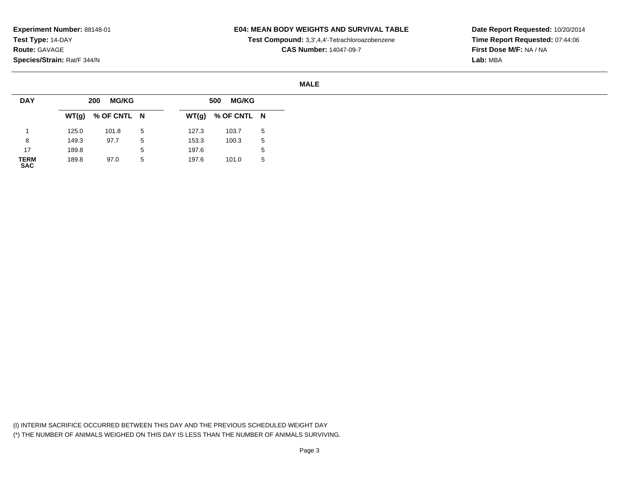### **E04: MEAN BODY WEIGHTS AND SURVIVAL TABLE**

**Test Compound:** 3,3',4,4'-Tetrachloroazobenzene

**CAS Number:** 14047-09-7

**Date Report Requested:** 10/20/2014**Time Report Requested:** 07:44:06**First Dose M/F:** NA / NA**Lab:** MBA

#### **MALE**

| <b>DAY</b>          |       | <b>MG/KG</b><br>200 |   |       | <b>MG/KG</b><br>500 |   |
|---------------------|-------|---------------------|---|-------|---------------------|---|
|                     |       | $WT(g)$ % OF CNTL N |   |       | $WT(g)$ % OF CNTL N |   |
|                     | 125.0 | 101.8               | 5 | 127.3 | 103.7               | 5 |
| 8                   | 149.3 | 97.7                | 5 | 153.3 | 100.3               | 5 |
| 17                  | 189.8 |                     | 5 | 197.6 |                     | ა |
| <b>TERM<br/>SAC</b> | 189.8 | 97.0                | 5 | 197.6 | 101.0               | 5 |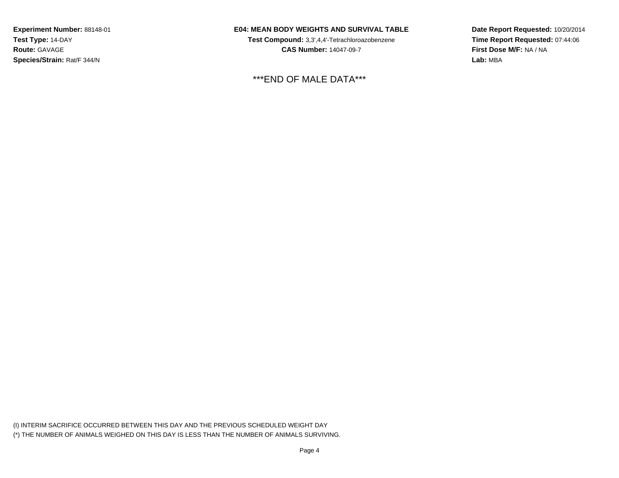## **E04: MEAN BODY WEIGHTS AND SURVIVAL TABLE**

**Test Compound:** 3,3',4,4'-Tetrachloroazobenzene**CAS Number:** 14047-09-7

\*\*\*END OF MALE DATA\*\*\*

**Date Report Requested:** 10/20/2014**Time Report Requested:** 07:44:06**First Dose M/F:** NA / NA**Lab:** MBA

(I) INTERIM SACRIFICE OCCURRED BETWEEN THIS DAY AND THE PREVIOUS SCHEDULED WEIGHT DAY(\*) THE NUMBER OF ANIMALS WEIGHED ON THIS DAY IS LESS THAN THE NUMBER OF ANIMALS SURVIVING.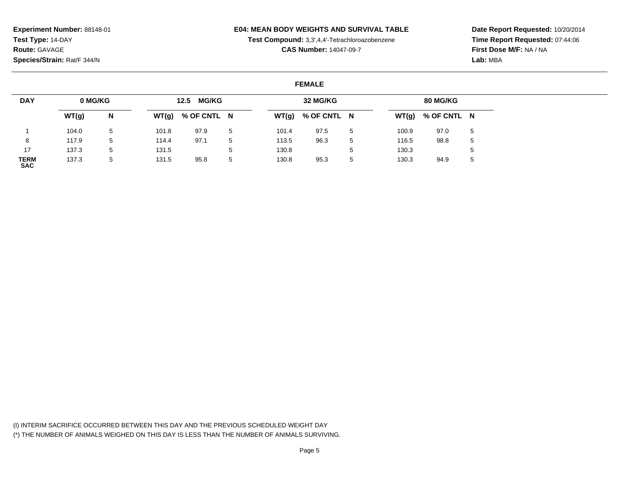### **E04: MEAN BODY WEIGHTS AND SURVIVAL TABLE**

**Test Compound:** 3,3',4,4'-Tetrachloroazobenzene

**CAS Number:** 14047-09-7

**Date Report Requested:** 10/20/2014**Time Report Requested:** 07:44:06**First Dose M/F:** NA / NA**Lab:** MBA

#### **FEMALE**

| <b>DAY</b>                | 0 MG/KG |   |       | <b>MG/KG</b><br>12.5 |             |       | 32 MG/KG    |    |       | 80 MG/KG            |   |
|---------------------------|---------|---|-------|----------------------|-------------|-------|-------------|----|-------|---------------------|---|
|                           | WT(g)   | N | WT(g) | % OF CNTL N          |             | WT(g) | % OF CNTL N |    |       | $WT(g)$ % OF CNTL N |   |
|                           | 104.0   | 5 | 101.8 | 97.9                 | $5^{\circ}$ | 101.4 | 97.5        | 5  | 100.9 | 97.0                | 5 |
| 8                         | 117.9   | 5 | 114.4 | 97.1                 | -5          | 113.5 | 96.3        | -5 | 116.5 | 98.8                | 5 |
| 17                        | 137.3   | 5 | 131.5 |                      | $5^{\circ}$ | 130.8 |             |    | 130.3 |                     | 5 |
| <b>TERM</b><br><b>SAC</b> | 137.3   | 5 | 131.5 | 95.8                 | 5           | 130.8 | 95.3        | 5  | 130.3 | 94.9                | 5 |

(I) INTERIM SACRIFICE OCCURRED BETWEEN THIS DAY AND THE PREVIOUS SCHEDULED WEIGHT DAY(\*) THE NUMBER OF ANIMALS WEIGHED ON THIS DAY IS LESS THAN THE NUMBER OF ANIMALS SURVIVING.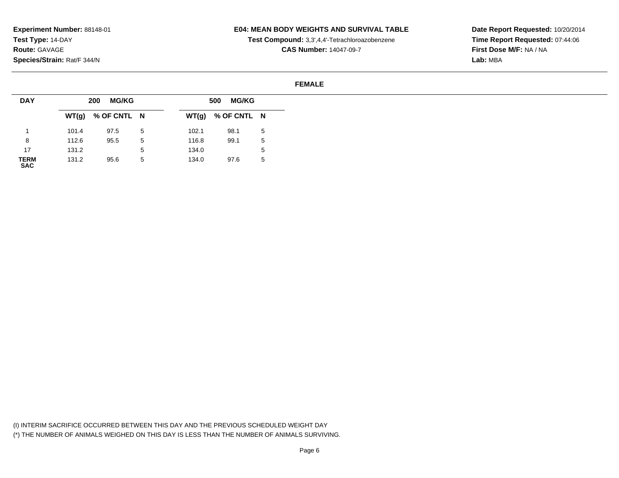### **E04: MEAN BODY WEIGHTS AND SURVIVAL TABLE**

**Test Compound:** 3,3',4,4'-Tetrachloroazobenzene

**CAS Number:** 14047-09-7

**Date Report Requested:** 10/20/2014**Time Report Requested:** 07:44:06**First Dose M/F:** NA / NA**Lab:** MBA

#### **FEMALE**

| <b>DAY</b>          |       | <b>MG/KG</b><br>200 |   |       | <b>MG/KG</b><br>500 |   |
|---------------------|-------|---------------------|---|-------|---------------------|---|
|                     |       | $WT(g)$ % OF CNTL N |   |       | $WT(g)$ % OF CNTL N |   |
|                     | 101.4 | 97.5                | 5 | 102.1 | 98.1                | 5 |
| 8                   | 112.6 | 95.5                | 5 | 116.8 | 99.1                | 5 |
| 17                  | 131.2 |                     | 5 | 134.0 |                     | ა |
| <b>TERM<br/>SAC</b> | 131.2 | 95.6                | 5 | 134.0 | 97.6                | 5 |